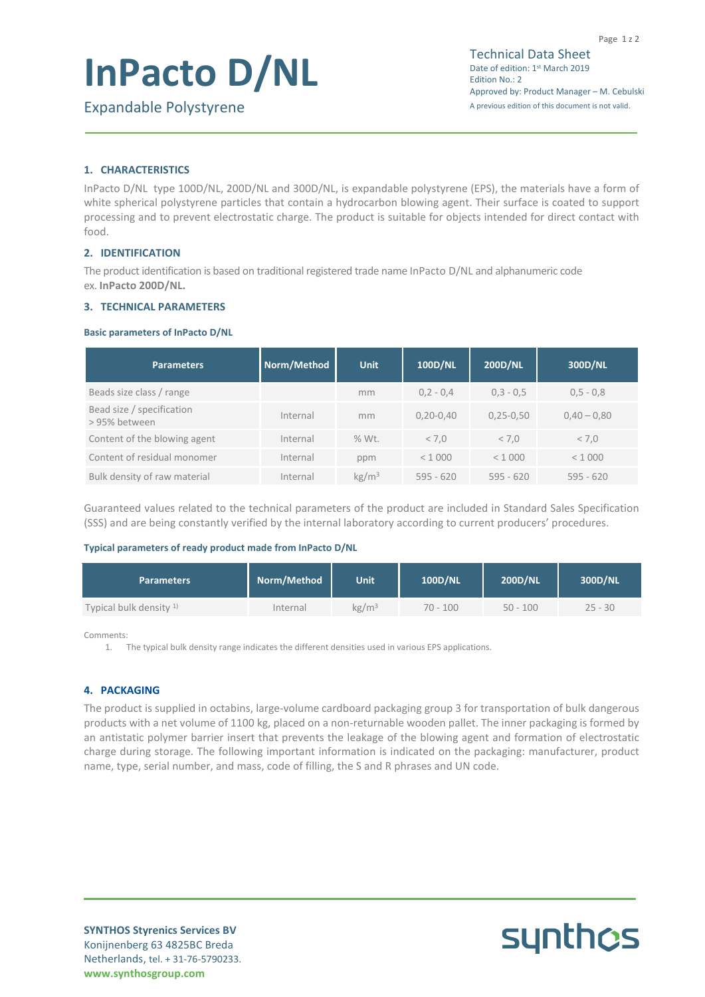# **InPacto D/NL**

### **1. CHARACTERISTICS**

InPacto D/NL type 100D/NL, 200D/NL and 300D/NL, is expandable polystyrene (EPS), the materials have a form of white spherical polystyrene particles that contain a hydrocarbon blowing agent. Their surface is coated to support processing and to prevent electrostatic charge. The product is suitable for objects intended for direct contact with food.

#### **2. IDENTIFICATION**

The product identification is based on traditional registered trade name InPacto D/NL and alphanumeric code ex. **InPacto 200D/NL.**

#### **3. TECHNICAL PARAMETERS**

#### **Basic parameters of InPacto D/NL**

| <b>Parameters</b>                          | Norm/Method | <b>Unit</b>       | <b>100D/NL</b> | <b>200D/NL</b> | 300D/NL       |
|--------------------------------------------|-------------|-------------------|----------------|----------------|---------------|
| Beads size class / range                   |             | mm                | $0,2 - 0,4$    | $0,3 - 0,5$    | $0,5 - 0,8$   |
| Bead size / specification<br>> 95% between | Internal    | mm                | $0,20-0,40$    | $0,25 - 0,50$  | $0,40 - 0,80$ |
| Content of the blowing agent               | Internal    | % Wt.             | < 7.0          | < 7.0          | < 7.0         |
| Content of residual monomer                | Internal    | ppm               | < 1000         | < 1000         | < 1000        |
| Bulk density of raw material               | Internal    | kg/m <sup>3</sup> | $595 - 620$    | $595 - 620$    | $595 - 620$   |

Guaranteed values related to the technical parameters of the product are included in Standard Sales Specification (SSS) and are being constantly verified by the internal laboratory according to current producers' procedures.

#### **Typical parameters of ready product made from InPacto D/NL**

| <b>Parameters</b>                 | Norm/Method | <b>Unit</b>       | 100D/NL    | 200D/NL    | 300D/NL   |
|-----------------------------------|-------------|-------------------|------------|------------|-----------|
| Typical bulk density <sup>1</sup> | Internal    | $\mathrm{kg/m^3}$ | $70 - 100$ | $50 - 100$ | $25 - 30$ |

Comments:

1. The typical bulk density range indicates the different densities used in various EPS applications.

#### **4. PACKAGING**

The product is supplied in octabins, large-volume cardboard packaging group 3 for transportation of bulk dangerous products with a net volume of 1100 kg, placed on a non-returnable wooden pallet. The inner packaging is formed by an antistatic polymer barrier insert that prevents the leakage of the blowing agent and formation of electrostatic charge during storage. The following important information is indicated on the packaging: manufacturer, product name, type, serial number, and mass, code of filling, the S and R phrases and UN code.